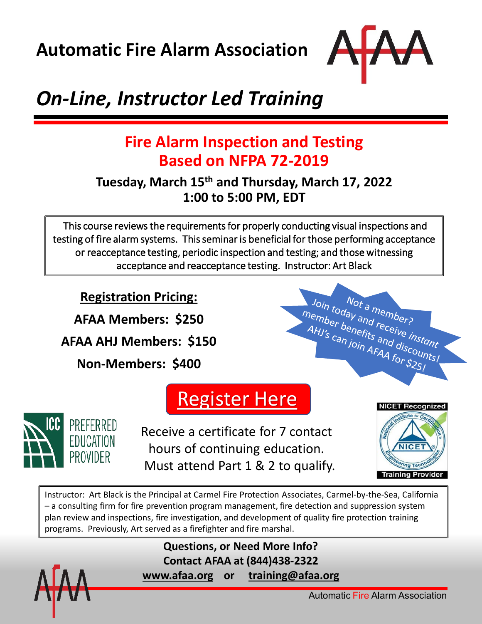**Automatic Fire Alarm Association**



# *On-Line, Instructor Led Training*

## **Fire Alarm Inspection and Testing Based on NFPA 72-2019**

### **Tuesday, March 15th and Thursday, March 17, 2022 1:00 to 5:00 PM, EDT**

This course reviews the requirements for properly conducting visual inspections and testing of fire alarm systems. This seminar is beneficial for those performing acceptance or reacceptance testing, periodic inspection and testing; and those witnessing acceptance and reacceptance testing. Instructor: Art Black

**Registration Pricing:**

**AFAA Members: \$250**

**AFAA AHJ Members: \$150**

**Non-Members: \$400** 







Receive a certificate for 7 contact hours of continuing education. Must attend Part 1 & 2 to qualify.



Instructor: Art Black is the Principal at Carmel Fire Protection Associates, Carmel-by-the-Sea, California – a consulting firm for fire prevention program management, fire detection and suppression system plan review and inspections, fire investigation, and development of quality fire protection training programs. Previously, Art served as a firefighter and fire marshal.

> **Questions, or Need More Info? Contact AFAA at (844)438-2322 [www.afaa.org](http://www.afaa.org/) or [training@afaa.org](mailto:training@afaa.org)**



Automatic Fire Alarm Association